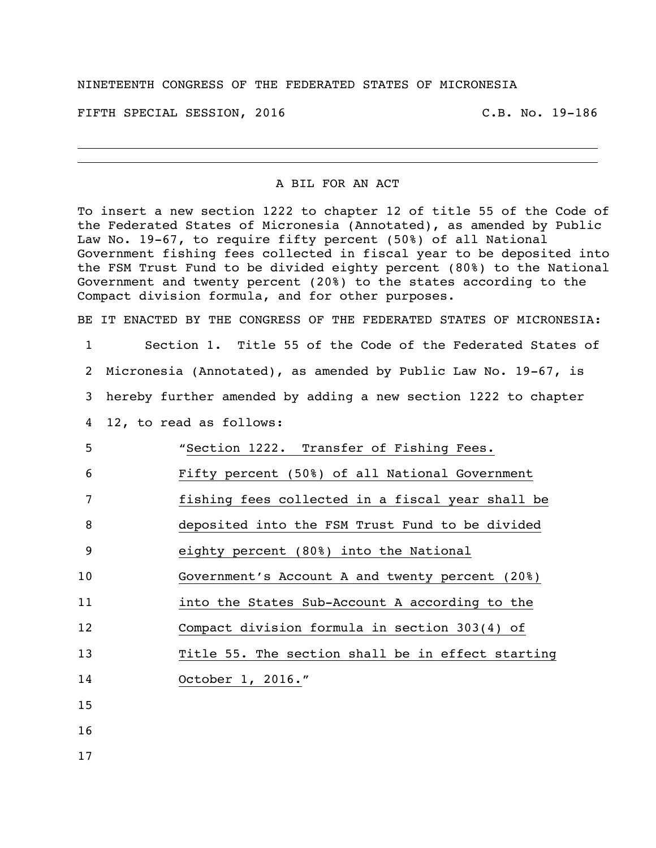## NINETEENTH CONGRESS OF THE FEDERATED STATES OF MICRONESIA

FIFTH SPECIAL SESSION, 2016 C.B. No. 19-186

## A BIL FOR AN ACT

To insert a new section 1222 to chapter 12 of title 55 of the Code of the Federated States of Micronesia (Annotated), as amended by Public Law No. 19-67, to require fifty percent (50%) of all National Government fishing fees collected in fiscal year to be deposited into the FSM Trust Fund to be divided eighty percent (80%) to the National Government and twenty percent (20%) to the states according to the Compact division formula, and for other purposes.

BE IT ENACTED BY THE CONGRESS OF THE FEDERATED STATES OF MICRONESIA:

 Section 1. Title 55 of the Code of the Federated States of Micronesia (Annotated), as amended by Public Law No. 19-67, is hereby further amended by adding a new section 1222 to chapter 12, to read as follows: "Section 1222. Transfer of Fishing Fees. Fifty percent (50%) of all National Government 7 fishing fees collected in a fiscal year shall be deposited into the FSM Trust Fund to be divided eighty percent (80%) into the National Government's Account A and twenty percent (20%) into the States Sub-Account A according to the Compact division formula in section 303(4) of Title 55. The section shall be in effect starting October 1, 2016." 15 16

17